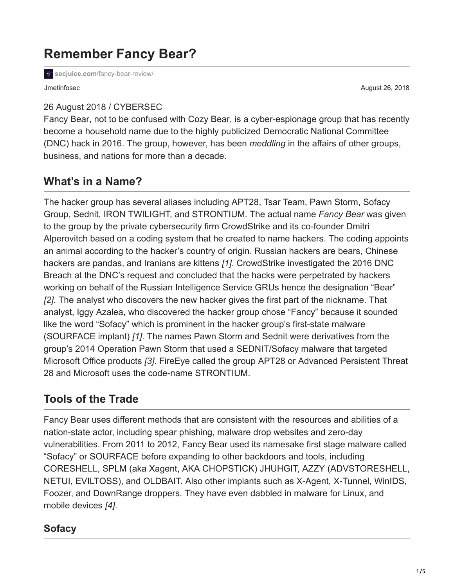# **Remember Fancy Bear?**

secjuice.com[/fancy-bear-review/](https://www.secjuice.com/fancy-bear-review/)

26 August 2018 / [CYBERSEC](https://www.secjuice.com/tag/cybersec/)

Jmetinfosec August 26, 2018

[Fancy Bear](https://en.wikipedia.org/wiki/Fancy_Bear), not to be confused with [Cozy Bear,](https://en.wikipedia.org/wiki/Cozy_Bear) is a cyber-espionage group that has recently become a household name due to the highly publicized Democratic National Committee (DNC) hack in 2016. The group, however, has been *meddling* in the affairs of other groups, business, and nations for more than a decade.

## **What's in a Name?**

The hacker group has several aliases including APT28, Tsar Team, Pawn Storm, Sofacy Group, Sednit, IRON TWILIGHT, and STRONTIUM. The actual name *Fancy Bear* was given to the group by the private cybersecurity firm CrowdStrike and its co-founder Dmitri Alperovitch based on a coding system that he created to name hackers. The coding appoints an animal according to the hacker's country of origin. Russian hackers are bears, Chinese hackers are pandas, and Iranians are kittens *[1]*. CrowdStrike investigated the 2016 DNC Breach at the DNC's request and concluded that the hacks were perpetrated by hackers working on behalf of the Russian Intelligence Service GRUs hence the designation "Bear" *[2]*. The analyst who discovers the new hacker gives the first part of the nickname. That analyst, Iggy Azalea, who discovered the hacker group chose "Fancy" because it sounded like the word "Sofacy" which is prominent in the hacker group's first-state malware (SOURFACE implant) *[1]*. The names Pawn Storm and Sednit were derivatives from the group's 2014 Operation Pawn Storm that used a SEDNIT/Sofacy malware that targeted Microsoft Office products *[3]*. FireEye called the group APT28 or Advanced Persistent Threat 28 and Microsoft uses the code-name STRONTIUM.

## **Tools of the Trade**

Fancy Bear uses different methods that are consistent with the resources and abilities of a nation-state actor, including spear phishing, malware drop websites and zero-day vulnerabilities. From 2011 to 2012, Fancy Bear used its namesake first stage malware called "Sofacy" or SOURFACE before expanding to other backdoors and tools, including CORESHELL, SPLM (aka Xagent, AKA CHOPSTICK) JHUHGIT, AZZY (ADVSTORESHELL, NETUI, EVILTOSS), and OLDBAIT. Also other implants such as X-Agent, X-Tunnel, WinIDS, Foozer, and DownRange droppers. They have even dabbled in malware for Linux, and mobile devices *[4]*.

#### **Sofacy**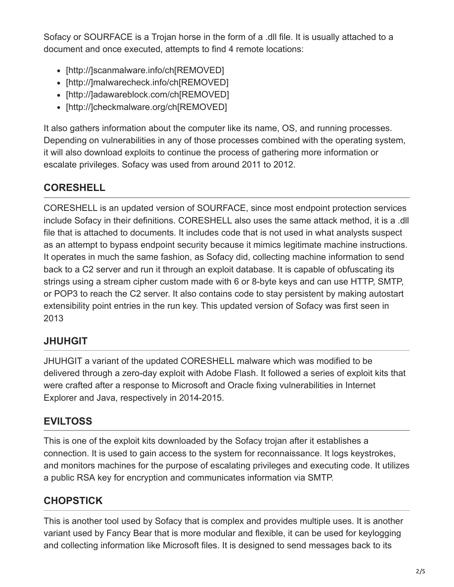Sofacy or SOURFACE is a Trojan horse in the form of a .dll file. It is usually attached to a document and once executed, attempts to find 4 remote locations:

- [http://]scanmalware.info/ch[REMOVED]
- [http://]malwarecheck.info/ch[REMOVED]
- [http://]adawareblock.com/ch[REMOVED]
- [http://]checkmalware.org/ch[REMOVED]

It also gathers information about the computer like its name, OS, and running processes. Depending on vulnerabilities in any of those processes combined with the operating system, it will also download exploits to continue the process of gathering more information or escalate privileges. Sofacy was used from around 2011 to 2012.

#### **CORESHELL**

CORESHELL is an updated version of SOURFACE, since most endpoint protection services include Sofacy in their definitions. CORESHELL also uses the same attack method, it is a .dll file that is attached to documents. It includes code that is not used in what analysts suspect as an attempt to bypass endpoint security because it mimics legitimate machine instructions. It operates in much the same fashion, as Sofacy did, collecting machine information to send back to a C2 server and run it through an exploit database. It is capable of obfuscating its strings using a stream cipher custom made with 6 or 8-byte keys and can use HTTP, SMTP, or POP3 to reach the C2 server. It also contains code to stay persistent by making autostart extensibility point entries in the run key. This updated version of Sofacy was first seen in 2013

#### **JHUHGIT**

JHUHGIT a variant of the updated CORESHELL malware which was modified to be delivered through a zero-day exploit with Adobe Flash. It followed a series of exploit kits that were crafted after a response to Microsoft and Oracle fixing vulnerabilities in Internet Explorer and Java, respectively in 2014-2015.

#### **EVILTOSS**

This is one of the exploit kits downloaded by the Sofacy trojan after it establishes a connection. It is used to gain access to the system for reconnaissance. It logs keystrokes, and monitors machines for the purpose of escalating privileges and executing code. It utilizes a public RSA key for encryption and communicates information via SMTP.

### **CHOPSTICK**

This is another tool used by Sofacy that is complex and provides multiple uses. It is another variant used by Fancy Bear that is more modular and flexible, it can be used for keylogging and collecting information like Microsoft files. It is designed to send messages back to its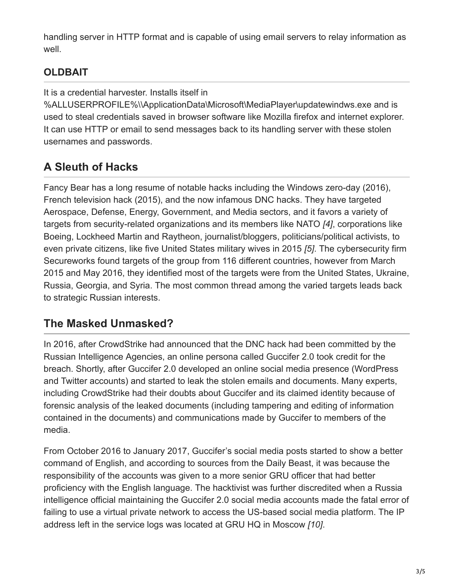handling server in HTTP format and is capable of using email servers to relay information as well.

## **OLDBAIT**

It is a credential harvester. Installs itself in

%ALLUSERPROFILE%\\ApplicationData\Microsoft\MediaPlayer\updatewindws.exe and is used to steal credentials saved in browser software like Mozilla firefox and internet explorer. It can use HTTP or email to send messages back to its handling server with these stolen usernames and passwords.

# **A Sleuth of Hacks**

Fancy Bear has a long resume of notable hacks including the Windows zero-day (2016), French television hack (2015), and the now infamous DNC hacks. They have targeted Aerospace, Defense, Energy, Government, and Media sectors, and it favors a variety of targets from security-related organizations and its members like NATO *[4]*, corporations like Boeing, Lockheed Martin and Raytheon, journalist/bloggers, politicians/political activists, to even private citizens, like five United States military wives in 2015 *[5]*. The cybersecurity firm Secureworks found targets of the group from 116 different countries, however from March 2015 and May 2016, they identified most of the targets were from the United States, Ukraine, Russia, Georgia, and Syria. The most common thread among the varied targets leads back to strategic Russian interests.

# **The Masked Unmasked?**

In 2016, after CrowdStrike had announced that the DNC hack had been committed by the Russian Intelligence Agencies, an online persona called Guccifer 2.0 took credit for the breach. Shortly, after Guccifer 2.0 developed an online social media presence (WordPress and Twitter accounts) and started to leak the stolen emails and documents. Many experts, including CrowdStrike had their doubts about Guccifer and its claimed identity because of forensic analysis of the leaked documents (including tampering and editing of information contained in the documents) and communications made by Guccifer to members of the media.

From October 2016 to January 2017, Guccifer's social media posts started to show a better command of English, and according to sources from the Daily Beast, it was because the responsibility of the accounts was given to a more senior GRU officer that had better proficiency with the English language. The hacktivist was further discredited when a Russia intelligence official maintaining the Guccifer 2.0 social media accounts made the fatal error of failing to use a virtual private network to access the US-based social media platform. The IP address left in the service logs was located at GRU HQ in Moscow *[10]*.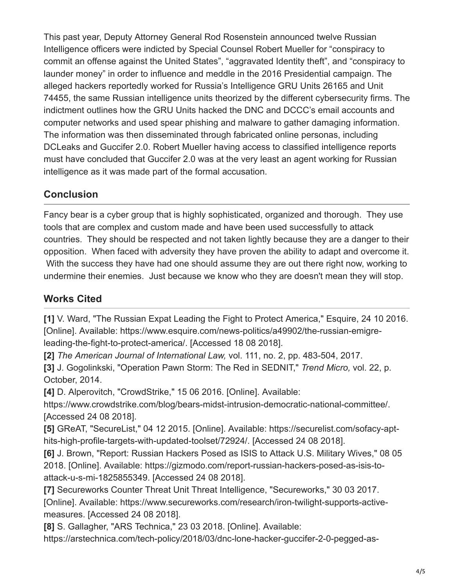This past year, Deputy Attorney General Rod Rosenstein announced twelve Russian Intelligence officers were indicted by Special Counsel Robert Mueller for "conspiracy to commit an offense against the United States", "aggravated Identity theft", and "conspiracy to launder money" in order to influence and meddle in the 2016 Presidential campaign. The alleged hackers reportedly worked for Russia's Intelligence GRU Units 26165 and Unit 74455, the same Russian intelligence units theorized by the different cybersecurity firms. The indictment outlines how the GRU Units hacked the DNC and DCCC's email accounts and computer networks and used spear phishing and malware to gather damaging information. The information was then disseminated through fabricated online personas, including DCLeaks and Guccifer 2.0. Robert Mueller having access to classified intelligence reports must have concluded that Guccifer 2.0 was at the very least an agent working for Russian intelligence as it was made part of the formal accusation.

#### **Conclusion**

Fancy bear is a cyber group that is highly sophisticated, organized and thorough. They use tools that are complex and custom made and have been used successfully to attack countries. They should be respected and not taken lightly because they are a danger to their opposition. When faced with adversity they have proven the ability to adapt and overcome it. With the success they have had one should assume they are out there right now, working to undermine their enemies. Just because we know who they are doesn't mean they will stop.

### **Works Cited**

**[1]** V. Ward, "The Russian Expat Leading the Fight to Protect America," Esquire, 24 10 2016. [Online]. Available: https://www.esquire.com/news-politics/a49902/the-russian-emigreleading-the-fight-to-protect-america/. [Accessed 18 08 2018].

**[2]** *The American Journal of International Law,* vol. 111, no. 2, pp. 483-504, 2017.

**[3]** J. Gogolinkski, "Operation Pawn Storm: The Red in SEDNIT," *Trend Micro,* vol. 22, p. October, 2014.

**[4]** D. Alperovitch, "CrowdStrike," 15 06 2016. [Online]. Available:

https://www.crowdstrike.com/blog/bears-midst-intrusion-democratic-national-committee/. [Accessed 24 08 2018].

**[5]** GReAT, "SecureList," 04 12 2015. [Online]. Available: https://securelist.com/sofacy-apthits-high-profile-targets-with-updated-toolset/72924/. [Accessed 24 08 2018].

**[6]** J. Brown, "Report: Russian Hackers Posed as ISIS to Attack U.S. Military Wives," 08 05 2018. [Online]. Available: https://gizmodo.com/report-russian-hackers-posed-as-isis-toattack-u-s-mi-1825855349. [Accessed 24 08 2018].

**[7]** Secureworks Counter Threat Unit Threat Intelligence, "Secureworks," 30 03 2017. [Online]. Available: https://www.secureworks.com/research/iron-twilight-supports-activemeasures. [Accessed 24 08 2018].

**[8]** S. Gallagher, "ARS Technica," 23 03 2018. [Online]. Available:

https://arstechnica.com/tech-policy/2018/03/dnc-lone-hacker-guccifer-2-0-pegged-as-